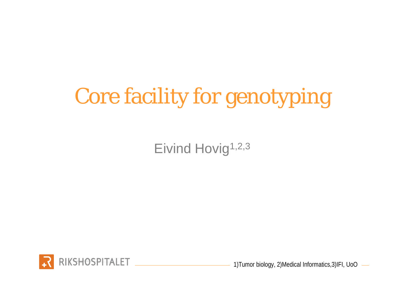# Core facility for genotyping

Eivind Hovig<sup>1,2,3</sup>



1)Tumor biology, 2)Medical Informatics,3)IFI, UoO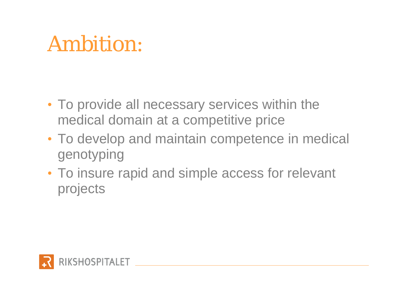### Ambition:

- To provide all necessary services within the medical domain at a competitive price
- To develop and maintain competence in medical genotyping
- To insure rapid and simple access for relevant projects

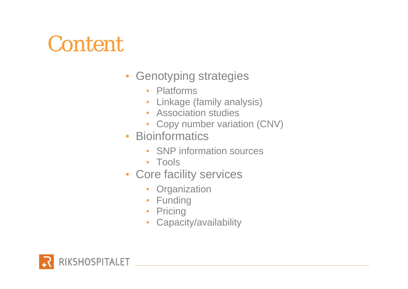### Content

- Genotyping strategies
	- Platforms
	- Linkage (family analysis)
	- Association studies
	- Copy number variation (CNV)
- Bioinformatics
	- SNP information sources
	- Tools
- Core facility services
	- Organization
	- Funding
	- Pricing
	- Capacity/availability

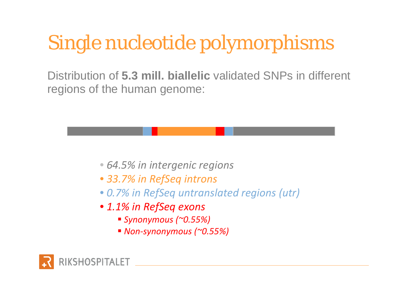### Single nucleotide polymorphisms

Distribution of **5.3 mill. biallelic** validated SNPs in different regions of the human genome:

- *64.5% in intergenic regions*
- *33.7% in RefSeq introns*
- *0.7% in RefSeq untranslated regions (utr)*
- *1.1% in RefSeq exons*
	- *Synonymous (~0.55%)*
	- *Non ‐synonymous (~0.55%)*

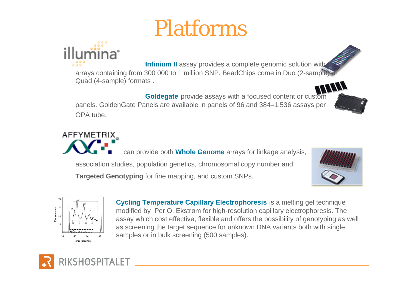### Platforms

**Infinium II** assay provides a complete genomic solution with arrays containing from 300 000 to 1 million SNP. BeadChips come in Duo (2-sample) Quad (4-sample) formats .

**Goldegate** provide assays with a focused content or custom panels. GoldenGate Panels are available in panels of 96 and 384–1,536 assays per OPA tube.

can provide both **Whole Genome** arrays for linkage analysis, association studies, population genetics, chromosomal copy number and **Targeted Genotyping** for fine mapping, and custom SNPs.





Time (seconds)

orescence<br>38<br>38





AFFYMETRIX<sub>a</sub>

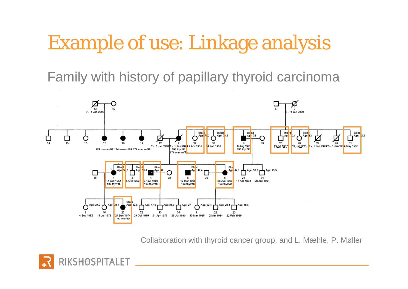### Example of use: Linkage analysis

Family with history of papillary thyroid carcinoma



Collaboration with thyroid cancer group, and L. Mæhle, P. Møller

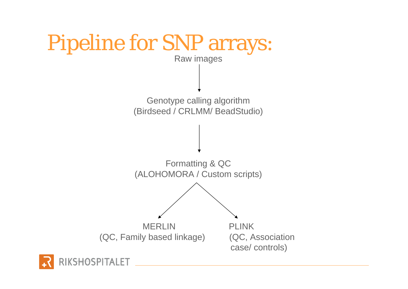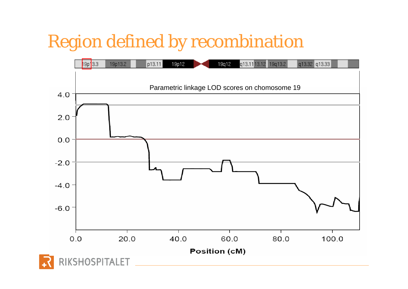### Region defined by recombination

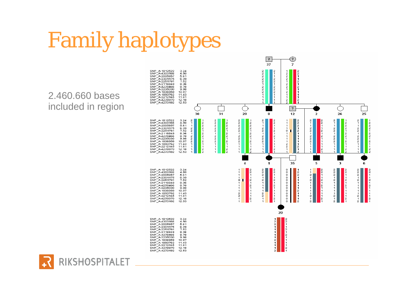## Family haplotypes

2.460.660 bases included in region

RIKSHOSPITALET

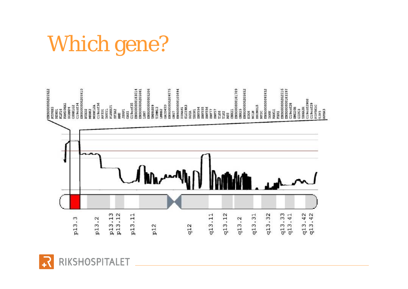## Which gene?



RIKSHOSPITALET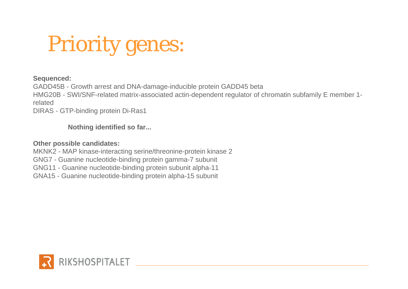## Priority genes:

#### **Sequenced:**

GADD45B - Growth arrest and DNA-damage-inducible protein GADD45 beta HMG20B - SWI/SNF-related matrix-associated actin-dependent regulator of chromatin subfamily E member 1 related

DIRAS - GTP-binding protein Di-Ras1

#### **Nothing identified so far...**

#### **Other possible candidates:**

MKNK2 - MAP kinase-interacting serine/threonine-protein kinase 2 GNG7 - Guanine nucleotide-binding protein gamma-7 subunit GNG11 - Guanine nucleotide-binding protein subunit alpha-11 GNA15 - Guanine nucleotide-binding protein alpha-15 subunit

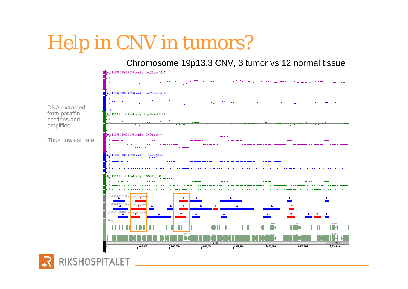### Help in CNV in tumors?

### Chromosome 19p13.3 CNV, 3 tumor vs 12 normal tissue



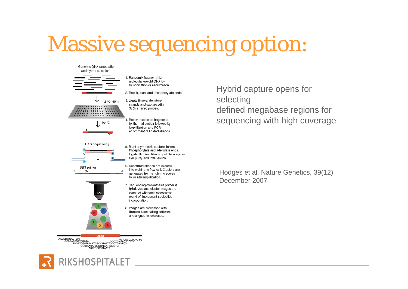### Massive sequencing option:

I. Genomic DNA preparation and hybrid selection











 $\mathcal{R}'$ 



- 1. Randomly fragment highmolecular-weight DNA by by sonication or nebulization.
- 2. Repair, blunt and phosphorylate ends.
- 3. Ligate linkers, denature strands and capture with 385k arrayed probes.
- 4. Recover selected fragments by thermal elution followed by Ivophilization and PCR enrichment of ligated strands.
- 5. Blunt asymmetric capture linkers. Phosphorylate and adenylate ends. Ligate Illumina 1G-compatible adaptors. Gel purify and PCR enrich.
- 6. Denatured strands are injected into eight-lane flow cell. Clusters are generated from single molecules by in situ amplification.
- 7. Sequencing-by-synthesis primer is hybridized and cluster images are scanned with each successive round of fluorescent nucleotide incorporation.
- 8. Images are processed with Illumina base-calling software and aligned to reference.

Hybrid capture opens for selecting defined megabase regions for sequencing with high coverage

Hodges et al. Nature Genetics, 39(12) December 2007

**TAACATCTGAGTGAT** 

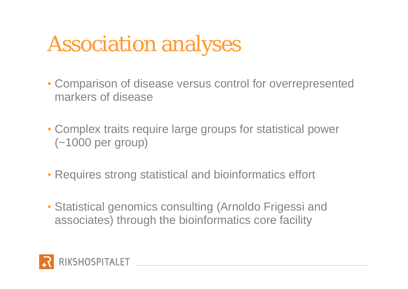## Association analyses

- Comparison of disease versus control for overrepresented markers of disease
- Complex traits require large groups for statistical power (~1000 per group)
- Requires strong statistical and bioinformatics effort
- Statistical genomics consulting (Arnoldo Frigessi and associates) through the bioinformatics core facility

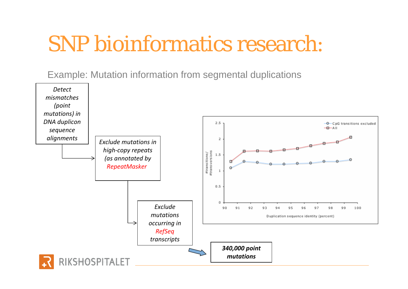### SNP bioinformatics research:

Example: Mutation information from segmental duplications

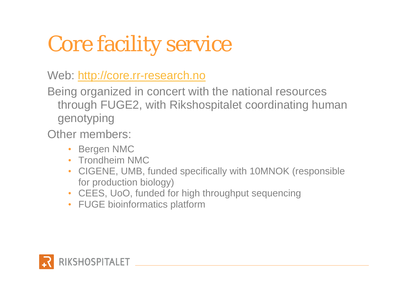# Core facility service

Web: <http://core.rr-research.no>

Being organized in concert with the national resources through FUGE2, with Rikshospitalet coordinating human genotyping

Other members:

- Bergen NMC
- Trondheim NMC
- CIGENE, UMB, funded specifically with 10MNOK (responsible for production biology)
- CEES, UoO, funded for high throughput sequencing
- FUGE bioinformatics platform

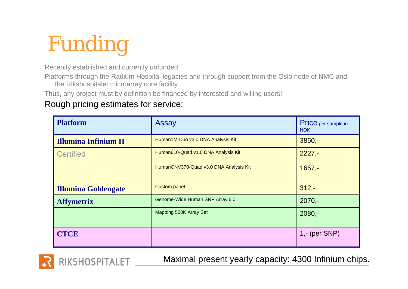# Funding

Recently established and currently unfunded

Platforms through the Radium Hospital legacies and through support from the Oslo node of NMC and the Rikshospitalet microarray core facility

Thus, any project must by definition be financed by interested and willing users!

### Rough pricing estimates for service:

**KSHOSPITALET** 

| <b>Platform</b>             | <b>Assay</b>                           | Price per sample in<br><b>NOK</b> |
|-----------------------------|----------------------------------------|-----------------------------------|
| <b>Illumina Infinium II</b> | Human1M-Duo v3.0 DNA Analysis Kit      | $3850,-$                          |
| <b>Certified</b>            | Human610-Quad v1.0 DNA Analysis Kit    | $2227 -$                          |
|                             | HumanCNV370-Quad v3.0 DNA Analysis Kit | $1657 -$                          |
| <b>Illumina Goldengate</b>  | <b>Custom panel</b>                    | $312 -$                           |
| <b>Affymetrix</b>           | Genome-Wide Human SNP Array 6.0        | $2070,-$                          |
|                             | Mapping 500K Array Set                 | $2080,-$                          |
| <b>CTCE</b>                 |                                        | $1 - (per SNP)$                   |

Maximal present yearly capacity: 4300 Infinium chips.